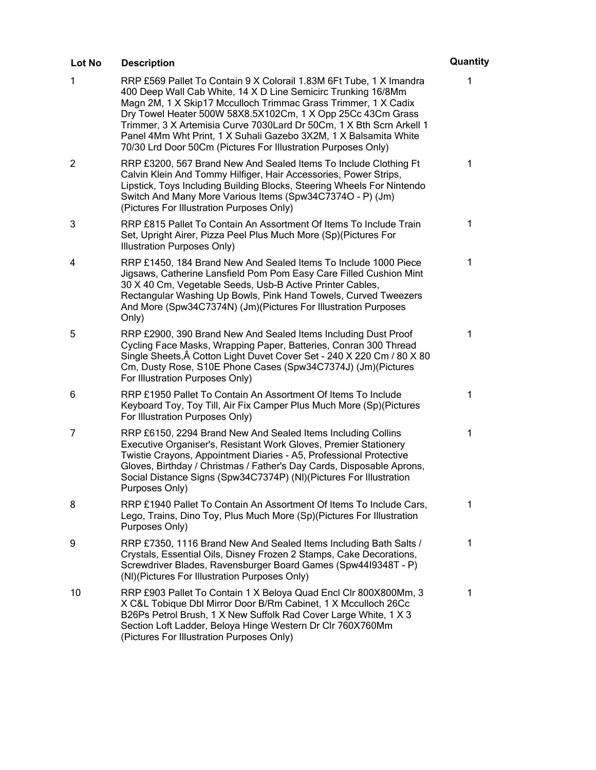| Lot No | <b>Description</b>                                                                                                                                                                                                                                                                                                                                                                                                                                                                 | Quantity     |
|--------|------------------------------------------------------------------------------------------------------------------------------------------------------------------------------------------------------------------------------------------------------------------------------------------------------------------------------------------------------------------------------------------------------------------------------------------------------------------------------------|--------------|
| 1      | RRP £569 Pallet To Contain 9 X Colorail 1.83M 6Ft Tube, 1 X Imandra<br>400 Deep Wall Cab White, 14 X D Line Semicirc Trunking 16/8Mm<br>Magn 2M, 1 X Skip17 Mcculloch Trimmac Grass Trimmer, 1 X Cadix<br>Dry Towel Heater 500W 58X8.5X102Cm, 1 X Opp 25Cc 43Cm Grass<br>Trimmer, 3 X Artemisia Curve 7030Lard Dr 50Cm, 1 X Bth Scrn Arkell 1<br>Panel 4Mm Wht Print, 1 X Suhali Gazebo 3X2M, 1 X Balsamita White<br>70/30 Lrd Door 50Cm (Pictures For Illustration Purposes Only) | 1            |
| 2      | RRP £3200, 567 Brand New And Sealed Items To Include Clothing Ft<br>Calvin Klein And Tommy Hilfiger, Hair Accessories, Power Strips,<br>Lipstick, Toys Including Building Blocks, Steering Wheels For Nintendo<br>Switch And Many More Various Items (Spw34C7374O - P) (Jm)<br>(Pictures For Illustration Purposes Only)                                                                                                                                                           | $\mathbf 1$  |
| 3      | RRP £815 Pallet To Contain An Assortment Of Items To Include Train<br>Set, Upright Airer, Pizza Peel Plus Much More (Sp)(Pictures For<br>Illustration Purposes Only)                                                                                                                                                                                                                                                                                                               | $\mathbf 1$  |
| 4      | RRP £1450, 184 Brand New And Sealed Items To Include 1000 Piece<br>Jigsaws, Catherine Lansfield Pom Pom Easy Care Filled Cushion Mint<br>30 X 40 Cm, Vegetable Seeds, Usb-B Active Printer Cables,<br>Rectangular Washing Up Bowls, Pink Hand Towels, Curved Tweezers<br>And More (Spw34C7374N) (Jm)(Pictures For Illustration Purposes<br>Only)                                                                                                                                   | $\mathbf{1}$ |
| 5      | RRP £2900, 390 Brand New And Sealed Items Including Dust Proof<br>Cycling Face Masks, Wrapping Paper, Batteries, Conran 300 Thread<br>Single Sheets, A Cotton Light Duvet Cover Set - 240 X 220 Cm / 80 X 80<br>Cm, Dusty Rose, S10E Phone Cases (Spw34C7374J) (Jm)(Pictures<br>For Illustration Purposes Only)                                                                                                                                                                    | 1            |
| 6      | RRP £1950 Pallet To Contain An Assortment Of Items To Include<br>Keyboard Toy, Toy Till, Air Fix Camper Plus Much More (Sp)(Pictures<br>For Illustration Purposes Only)                                                                                                                                                                                                                                                                                                            | $\mathbf{1}$ |
| 7      | RRP £6150, 2294 Brand New And Sealed Items Including Collins<br>Executive Organiser's, Resistant Work Gloves, Premier Stationery<br>Twistie Crayons, Appointment Diaries - A5, Professional Protective<br>Gloves, Birthday / Christmas / Father's Day Cards, Disposable Aprons,<br>Social Distance Signs (Spw34C7374P) (NI)(Pictures For Illustration<br>Purposes Only)                                                                                                            | 1            |
| 8      | RRP £1940 Pallet To Contain An Assortment Of Items To Include Cars,<br>Lego, Trains, Dino Toy, Plus Much More (Sp)(Pictures For Illustration<br>Purposes Only)                                                                                                                                                                                                                                                                                                                     | 1            |
| 9      | RRP £7350, 1116 Brand New And Sealed Items Including Bath Salts /<br>Crystals, Essential Oils, Disney Frozen 2 Stamps, Cake Decorations,<br>Screwdriver Blades, Ravensburger Board Games (Spw4419348T - P)<br>(NI)(Pictures For Illustration Purposes Only)                                                                                                                                                                                                                        | $\mathbf 1$  |
| 10     | RRP £903 Pallet To Contain 1 X Beloya Quad Encl Clr 800X800Mm, 3<br>X C&L Tobique Dbl Mirror Door B/Rm Cabinet, 1 X Mcculloch 26Cc<br>B26Ps Petrol Brush, 1 X New Suffolk Rad Cover Large White, 1 X 3<br>Section Loft Ladder, Beloya Hinge Western Dr Clr 760X760Mm<br>(Pictures For Illustration Purposes Only)                                                                                                                                                                  | $\mathbf 1$  |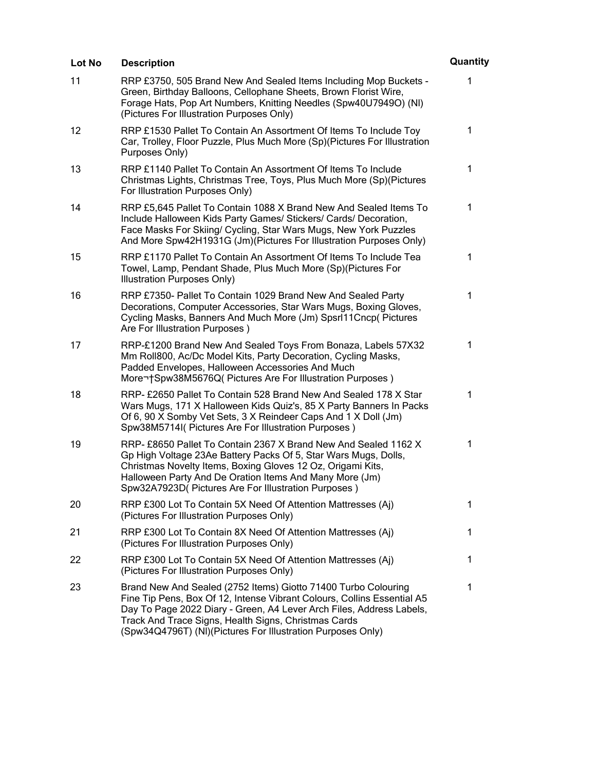| Lot No | <b>Description</b>                                                                                                                                                                                                                                                                                                                       | Quantity |
|--------|------------------------------------------------------------------------------------------------------------------------------------------------------------------------------------------------------------------------------------------------------------------------------------------------------------------------------------------|----------|
| 11     | RRP £3750, 505 Brand New And Sealed Items Including Mop Buckets -<br>Green, Birthday Balloons, Cellophane Sheets, Brown Florist Wire,<br>Forage Hats, Pop Art Numbers, Knitting Needles (Spw40U7949O) (NI)<br>(Pictures For Illustration Purposes Only)                                                                                  | 1        |
| 12     | RRP £1530 Pallet To Contain An Assortment Of Items To Include Toy<br>Car, Trolley, Floor Puzzle, Plus Much More (Sp) (Pictures For Illustration<br>Purposes Only)                                                                                                                                                                        | 1        |
| 13     | RRP £1140 Pallet To Contain An Assortment Of Items To Include<br>Christmas Lights, Christmas Tree, Toys, Plus Much More (Sp)(Pictures<br>For Illustration Purposes Only)                                                                                                                                                                 | 1        |
| 14     | RRP £5,645 Pallet To Contain 1088 X Brand New And Sealed Items To<br>Include Halloween Kids Party Games/ Stickers/ Cards/ Decoration,<br>Face Masks For Skiing/ Cycling, Star Wars Mugs, New York Puzzles<br>And More Spw42H1931G (Jm)(Pictures For Illustration Purposes Only)                                                          | 1        |
| 15     | RRP £1170 Pallet To Contain An Assortment Of Items To Include Tea<br>Towel, Lamp, Pendant Shade, Plus Much More (Sp)(Pictures For<br>Illustration Purposes Only)                                                                                                                                                                         | 1        |
| 16     | RRP £7350- Pallet To Contain 1029 Brand New And Sealed Party<br>Decorations, Computer Accessories, Star Wars Mugs, Boxing Gloves,<br>Cycling Masks, Banners And Much More (Jm) Spsrl11Cncp( Pictures<br>Are For Illustration Purposes)                                                                                                   | 1        |
| 17     | RRP-£1200 Brand New And Sealed Toys From Bonaza, Labels 57X32<br>Mm Roll800, Ac/Dc Model Kits, Party Decoration, Cycling Masks,<br>Padded Envelopes, Halloween Accessories And Much<br>More Spw38M5676Q( Pictures Are For Illustration Purposes)                                                                                         | 1        |
| 18     | RRP- £2650 Pallet To Contain 528 Brand New And Sealed 178 X Star<br>Wars Mugs, 171 X Halloween Kids Quiz's, 85 X Party Banners In Packs<br>Of 6, 90 X Somby Vet Sets, 3 X Reindeer Caps And 1 X Doll (Jm)<br>Spw38M5714I( Pictures Are For Illustration Purposes)                                                                        | 1        |
| 19     | RRP- £8650 Pallet To Contain 2367 X Brand New And Sealed 1162 X<br>Gp High Voltage 23Ae Battery Packs Of 5, Star Wars Mugs, Dolls,<br>Christmas Novelty Items, Boxing Gloves 12 Oz, Origami Kits,<br>Halloween Party And De Oration Items And Many More (Jm)<br>Spw32A7923D( Pictures Are For Illustration Purposes)                     | 1        |
| 20     | RRP £300 Lot To Contain 5X Need Of Attention Mattresses (Aj)<br>(Pictures For Illustration Purposes Only)                                                                                                                                                                                                                                | 1        |
| 21     | RRP £300 Lot To Contain 8X Need Of Attention Mattresses (Aj)<br>(Pictures For Illustration Purposes Only)                                                                                                                                                                                                                                | 1        |
| 22     | RRP £300 Lot To Contain 5X Need Of Attention Mattresses (Aj)<br>(Pictures For Illustration Purposes Only)                                                                                                                                                                                                                                | 1        |
| 23     | Brand New And Sealed (2752 Items) Giotto 71400 Turbo Colouring<br>Fine Tip Pens, Box Of 12, Intense Vibrant Colours, Collins Essential A5<br>Day To Page 2022 Diary - Green, A4 Lever Arch Files, Address Labels,<br>Track And Trace Signs, Health Signs, Christmas Cards<br>(Spw34Q4796T) (NI)(Pictures For Illustration Purposes Only) | 1        |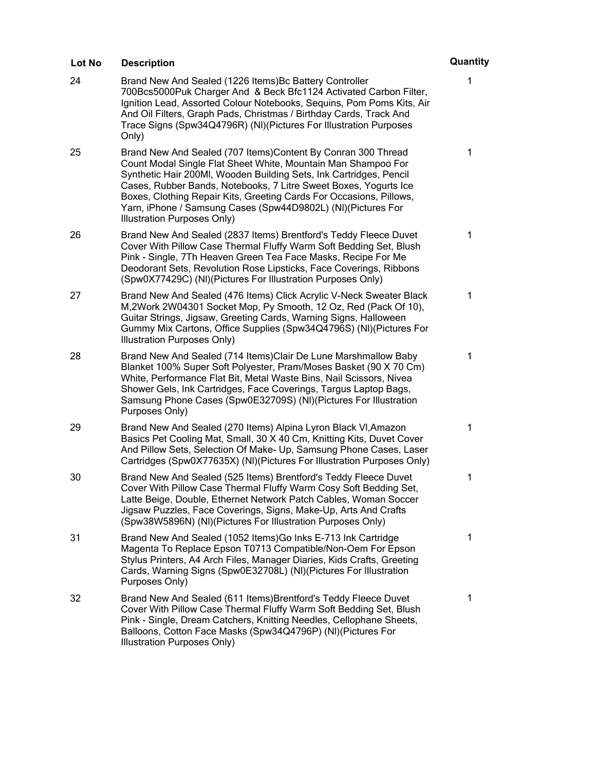| Lot No | <b>Description</b>                                                                                                                                                                                                                                                                                                                                                                                                                             | Quantity |
|--------|------------------------------------------------------------------------------------------------------------------------------------------------------------------------------------------------------------------------------------------------------------------------------------------------------------------------------------------------------------------------------------------------------------------------------------------------|----------|
| 24     | Brand New And Sealed (1226 Items) Bc Battery Controller<br>700Bcs5000Puk Charger And & Beck Bfc1124 Activated Carbon Filter,<br>Ignition Lead, Assorted Colour Notebooks, Sequins, Pom Poms Kits, Air<br>And Oil Filters, Graph Pads, Christmas / Birthday Cards, Track And<br>Trace Signs (Spw34Q4796R) (NI)(Pictures For Illustration Purposes<br>Only)                                                                                      | 1        |
| 25     | Brand New And Sealed (707 Items) Content By Conran 300 Thread<br>Count Modal Single Flat Sheet White, Mountain Man Shampoo For<br>Synthetic Hair 200MI, Wooden Building Sets, Ink Cartridges, Pencil<br>Cases, Rubber Bands, Notebooks, 7 Litre Sweet Boxes, Yogurts Ice<br>Boxes, Clothing Repair Kits, Greeting Cards For Occasions, Pillows,<br>Yarn, iPhone / Samsung Cases (Spw44D9802L) (NI)(Pictures For<br>Illustration Purposes Only) | 1        |
| 26     | Brand New And Sealed (2837 Items) Brentford's Teddy Fleece Duvet<br>Cover With Pillow Case Thermal Fluffy Warm Soft Bedding Set, Blush<br>Pink - Single, 7Th Heaven Green Tea Face Masks, Recipe For Me<br>Deodorant Sets, Revolution Rose Lipsticks, Face Coverings, Ribbons<br>(Spw0X77429C) (NI)(Pictures For Illustration Purposes Only)                                                                                                   | 1        |
| 27     | Brand New And Sealed (476 Items) Click Acrylic V-Neck Sweater Black<br>M,2Work 2W04301 Socket Mop, Py Smooth, 12 Oz, Red (Pack Of 10),<br>Guitar Strings, Jigsaw, Greeting Cards, Warning Signs, Halloween<br>Gummy Mix Cartons, Office Supplies (Spw34Q4796S) (NI)(Pictures For<br>Illustration Purposes Only)                                                                                                                                | 1        |
| 28     | Brand New And Sealed (714 Items) Clair De Lune Marshmallow Baby<br>Blanket 100% Super Soft Polyester, Pram/Moses Basket (90 X 70 Cm)<br>White, Performance Flat Bit, Metal Waste Bins, Nail Scissors, Nivea<br>Shower Gels, Ink Cartridges, Face Coverings, Targus Laptop Bags,<br>Samsung Phone Cases (Spw0E32709S) (NI)(Pictures For Illustration<br>Purposes Only)                                                                          | 1        |
| 29     | Brand New And Sealed (270 Items) Alpina Lyron Black VI, Amazon<br>Basics Pet Cooling Mat, Small, 30 X 40 Cm, Knitting Kits, Duvet Cover<br>And Pillow Sets, Selection Of Make- Up, Samsung Phone Cases, Laser<br>Cartridges (Spw0X77635X) (NI)(Pictures For Illustration Purposes Only)                                                                                                                                                        | 1        |
| 30     | Brand New And Sealed (525 Items) Brentford's Teddy Fleece Duvet<br>Cover With Pillow Case Thermal Fluffy Warm Cosy Soft Bedding Set,<br>Latte Beige, Double, Ethernet Network Patch Cables, Woman Soccer<br>Jigsaw Puzzles, Face Coverings, Signs, Make-Up, Arts And Crafts<br>(Spw38W5896N) (NI)(Pictures For Illustration Purposes Only)                                                                                                     | 1        |
| 31     | Brand New And Sealed (1052 Items) Go Inks E-713 Ink Cartridge<br>Magenta To Replace Epson T0713 Compatible/Non-Oem For Epson<br>Stylus Printers, A4 Arch Files, Manager Diaries, Kids Crafts, Greeting<br>Cards, Warning Signs (Spw0E32708L) (NI)(Pictures For Illustration<br>Purposes Only)                                                                                                                                                  | 1        |
| 32     | Brand New And Sealed (611 Items) Brentford's Teddy Fleece Duvet<br>Cover With Pillow Case Thermal Fluffy Warm Soft Bedding Set, Blush<br>Pink - Single, Dream Catchers, Knitting Needles, Cellophane Sheets,<br>Balloons, Cotton Face Masks (Spw34Q4796P) (NI)(Pictures For<br>Illustration Purposes Only)                                                                                                                                     | 1        |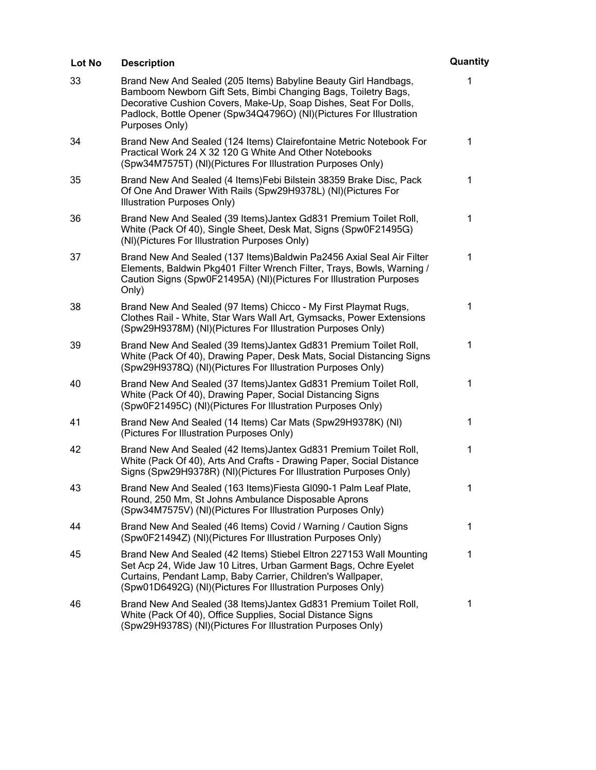| Lot No | <b>Description</b>                                                                                                                                                                                                                                                                             | Quantity    |
|--------|------------------------------------------------------------------------------------------------------------------------------------------------------------------------------------------------------------------------------------------------------------------------------------------------|-------------|
| 33     | Brand New And Sealed (205 Items) Babyline Beauty Girl Handbags,<br>Bamboom Newborn Gift Sets, Bimbi Changing Bags, Toiletry Bags,<br>Decorative Cushion Covers, Make-Up, Soap Dishes, Seat For Dolls,<br>Padlock, Bottle Opener (Spw34Q4796O) (NI)(Pictures For Illustration<br>Purposes Only) | 1           |
| 34     | Brand New And Sealed (124 Items) Clairefontaine Metric Notebook For<br>Practical Work 24 X 32 120 G White And Other Notebooks<br>(Spw34M7575T) (NI)(Pictures For Illustration Purposes Only)                                                                                                   | 1           |
| 35     | Brand New And Sealed (4 Items) Febi Bilstein 38359 Brake Disc, Pack<br>Of One And Drawer With Rails (Spw29H9378L) (NI)(Pictures For<br>Illustration Purposes Only)                                                                                                                             | $\mathbf 1$ |
| 36     | Brand New And Sealed (39 Items) Jantex Gd831 Premium Toilet Roll,<br>White (Pack Of 40), Single Sheet, Desk Mat, Signs (Spw0F21495G)<br>(NI)(Pictures For Illustration Purposes Only)                                                                                                          | 1           |
| 37     | Brand New And Sealed (137 Items) Baldwin Pa2456 Axial Seal Air Filter<br>Elements, Baldwin Pkg401 Filter Wrench Filter, Trays, Bowls, Warning /<br>Caution Signs (Spw0F21495A) (NI)(Pictures For Illustration Purposes<br>Only)                                                                | 1           |
| 38     | Brand New And Sealed (97 Items) Chicco - My First Playmat Rugs,<br>Clothes Rail - White, Star Wars Wall Art, Gymsacks, Power Extensions<br>(Spw29H9378M) (NI)(Pictures For Illustration Purposes Only)                                                                                         | 1           |
| 39     | Brand New And Sealed (39 Items) Jantex Gd831 Premium Toilet Roll,<br>White (Pack Of 40), Drawing Paper, Desk Mats, Social Distancing Signs<br>(Spw29H9378Q) (NI)(Pictures For Illustration Purposes Only)                                                                                      | 1           |
| 40     | Brand New And Sealed (37 Items) Jantex Gd831 Premium Toilet Roll,<br>White (Pack Of 40), Drawing Paper, Social Distancing Signs<br>(Spw0F21495C) (NI)(Pictures For Illustration Purposes Only)                                                                                                 | 1           |
| 41     | Brand New And Sealed (14 Items) Car Mats (Spw29H9378K) (NI)<br>(Pictures For Illustration Purposes Only)                                                                                                                                                                                       | 1           |
| 42     | Brand New And Sealed (42 Items) Jantex Gd831 Premium Toilet Roll,<br>White (Pack Of 40), Arts And Crafts - Drawing Paper, Social Distance<br>Signs (Spw29H9378R) (NI)(Pictures For Illustration Purposes Only)                                                                                 | 1           |
| 43     | Brand New And Sealed (163 Items) Fiesta GI090-1 Palm Leaf Plate,<br>Round, 250 Mm, St Johns Ambulance Disposable Aprons<br>(Spw34M7575V) (NI)(Pictures For Illustration Purposes Only)                                                                                                         | 1           |
| 44     | Brand New And Sealed (46 Items) Covid / Warning / Caution Signs<br>(Spw0F21494Z) (NI)(Pictures For Illustration Purposes Only)                                                                                                                                                                 | 1           |
| 45     | Brand New And Sealed (42 Items) Stiebel Eltron 227153 Wall Mounting<br>Set Acp 24, Wide Jaw 10 Litres, Urban Garment Bags, Ochre Eyelet<br>Curtains, Pendant Lamp, Baby Carrier, Children's Wallpaper,<br>(Spw01D6492G) (NI)(Pictures For Illustration Purposes Only)                          | 1           |
| 46     | Brand New And Sealed (38 Items) Jantex Gd831 Premium Toilet Roll,<br>White (Pack Of 40), Office Supplies, Social Distance Signs<br>(Spw29H9378S) (NI)(Pictures For Illustration Purposes Only)                                                                                                 | 1           |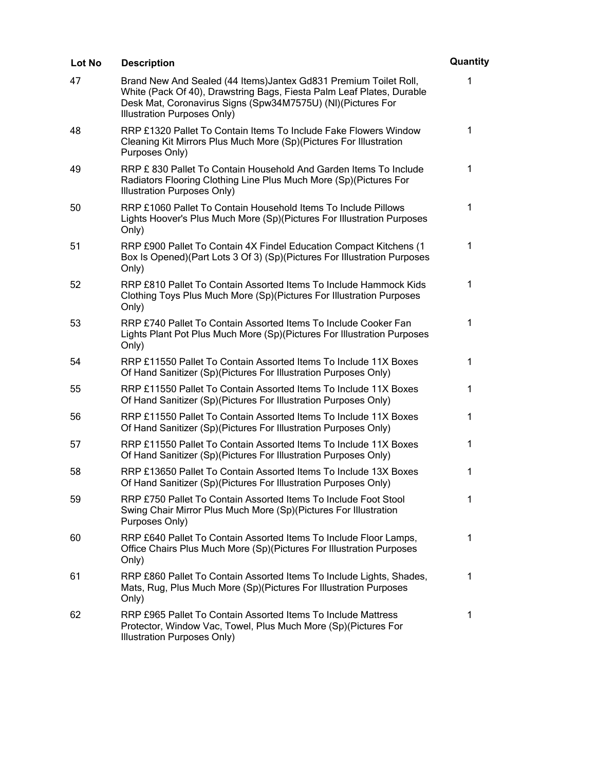| Lot No | <b>Description</b>                                                                                                                                                                                                                       | Quantity     |
|--------|------------------------------------------------------------------------------------------------------------------------------------------------------------------------------------------------------------------------------------------|--------------|
| 47     | Brand New And Sealed (44 Items) Jantex Gd831 Premium Toilet Roll,<br>White (Pack Of 40), Drawstring Bags, Fiesta Palm Leaf Plates, Durable<br>Desk Mat, Coronavirus Signs (Spw34M7575U) (NI)(Pictures For<br>Illustration Purposes Only) | 1            |
| 48     | RRP £1320 Pallet To Contain Items To Include Fake Flowers Window<br>Cleaning Kit Mirrors Plus Much More (Sp)(Pictures For Illustration<br>Purposes Only)                                                                                 | $\mathbf{1}$ |
| 49     | RRP £830 Pallet To Contain Household And Garden Items To Include<br>Radiators Flooring Clothing Line Plus Much More (Sp)(Pictures For<br>Illustration Purposes Only)                                                                     | $\mathbf{1}$ |
| 50     | RRP £1060 Pallet To Contain Household Items To Include Pillows<br>Lights Hoover's Plus Much More (Sp)(Pictures For Illustration Purposes<br>Only)                                                                                        | 1            |
| 51     | RRP £900 Pallet To Contain 4X Findel Education Compact Kitchens (1<br>Box Is Opened)(Part Lots 3 Of 3) (Sp)(Pictures For Illustration Purposes<br>Only)                                                                                  | $\mathbf 1$  |
| 52     | RRP £810 Pallet To Contain Assorted Items To Include Hammock Kids<br>Clothing Toys Plus Much More (Sp)(Pictures For Illustration Purposes<br>Only)                                                                                       | $\mathbf{1}$ |
| 53     | RRP £740 Pallet To Contain Assorted Items To Include Cooker Fan<br>Lights Plant Pot Plus Much More (Sp) (Pictures For Illustration Purposes<br>Only)                                                                                     | $\mathbf{1}$ |
| 54     | RRP £11550 Pallet To Contain Assorted Items To Include 11X Boxes<br>Of Hand Sanitizer (Sp)(Pictures For Illustration Purposes Only)                                                                                                      | 1            |
| 55     | RRP £11550 Pallet To Contain Assorted Items To Include 11X Boxes<br>Of Hand Sanitizer (Sp)(Pictures For Illustration Purposes Only)                                                                                                      | $\mathbf 1$  |
| 56     | RRP £11550 Pallet To Contain Assorted Items To Include 11X Boxes<br>Of Hand Sanitizer (Sp)(Pictures For Illustration Purposes Only)                                                                                                      | $\mathbf 1$  |
| 57     | RRP £11550 Pallet To Contain Assorted Items To Include 11X Boxes<br>Of Hand Sanitizer (Sp)(Pictures For Illustration Purposes Only)                                                                                                      | $\mathbf{1}$ |
| 58     | RRP £13650 Pallet To Contain Assorted Items To Include 13X Boxes<br>Of Hand Sanitizer (Sp)(Pictures For Illustration Purposes Only)                                                                                                      | $\mathbf{1}$ |
| 59     | RRP £750 Pallet To Contain Assorted Items To Include Foot Stool<br>Swing Chair Mirror Plus Much More (Sp)(Pictures For Illustration<br>Purposes Only)                                                                                    | 1            |
| 60     | RRP £640 Pallet To Contain Assorted Items To Include Floor Lamps,<br>Office Chairs Plus Much More (Sp)(Pictures For Illustration Purposes<br>Only)                                                                                       | $\mathbf 1$  |
| 61     | RRP £860 Pallet To Contain Assorted Items To Include Lights, Shades,<br>Mats, Rug, Plus Much More (Sp)(Pictures For Illustration Purposes<br>Only)                                                                                       | $\mathbf 1$  |
| 62     | RRP £965 Pallet To Contain Assorted Items To Include Mattress<br>Protector, Window Vac, Towel, Plus Much More (Sp)(Pictures For<br>Illustration Purposes Only)                                                                           | 1            |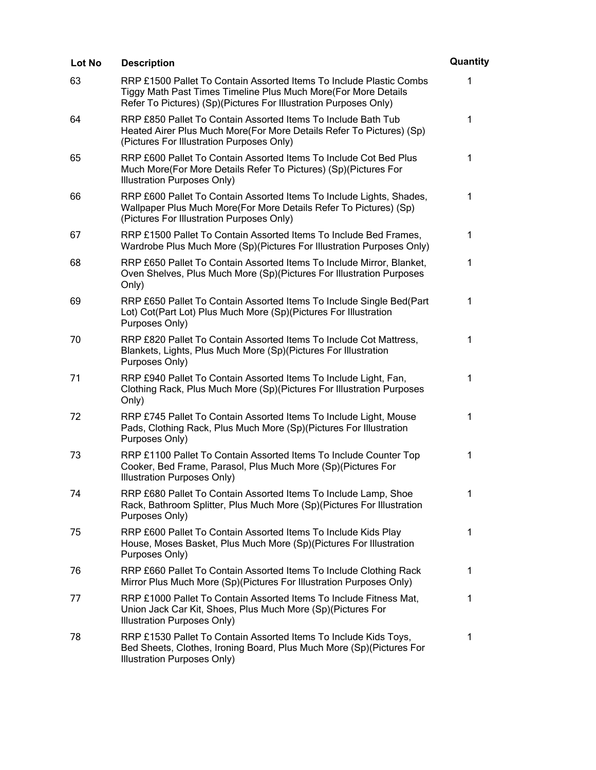| Lot No | <b>Description</b>                                                                                                                                                                                        | Quantity     |
|--------|-----------------------------------------------------------------------------------------------------------------------------------------------------------------------------------------------------------|--------------|
| 63     | RRP £1500 Pallet To Contain Assorted Items To Include Plastic Combs<br>Tiggy Math Past Times Timeline Plus Much More(For More Details<br>Refer To Pictures) (Sp)(Pictures For Illustration Purposes Only) | 1            |
| 64     | RRP £850 Pallet To Contain Assorted Items To Include Bath Tub<br>Heated Airer Plus Much More(For More Details Refer To Pictures) (Sp)<br>(Pictures For Illustration Purposes Only)                        | 1            |
| 65     | RRP £600 Pallet To Contain Assorted Items To Include Cot Bed Plus<br>Much More(For More Details Refer To Pictures) (Sp)(Pictures For<br>Illustration Purposes Only)                                       | $\mathbf{1}$ |
| 66     | RRP £600 Pallet To Contain Assorted Items To Include Lights, Shades,<br>Wallpaper Plus Much More(For More Details Refer To Pictures) (Sp)<br>(Pictures For Illustration Purposes Only)                    | $\mathbf 1$  |
| 67     | RRP £1500 Pallet To Contain Assorted Items To Include Bed Frames,<br>Wardrobe Plus Much More (Sp)(Pictures For Illustration Purposes Only)                                                                | 1            |
| 68     | RRP £650 Pallet To Contain Assorted Items To Include Mirror, Blanket,<br>Oven Shelves, Plus Much More (Sp)(Pictures For Illustration Purposes<br>Only)                                                    | $\mathbf{1}$ |
| 69     | RRP £650 Pallet To Contain Assorted Items To Include Single Bed(Part<br>Lot) Cot(Part Lot) Plus Much More (Sp)(Pictures For Illustration<br>Purposes Only)                                                | 1            |
| 70     | RRP £820 Pallet To Contain Assorted Items To Include Cot Mattress,<br>Blankets, Lights, Plus Much More (Sp)(Pictures For Illustration<br>Purposes Only)                                                   | 1            |
| 71     | RRP £940 Pallet To Contain Assorted Items To Include Light, Fan,<br>Clothing Rack, Plus Much More (Sp)(Pictures For Illustration Purposes<br>Only)                                                        | 1            |
| 72     | RRP £745 Pallet To Contain Assorted Items To Include Light, Mouse<br>Pads, Clothing Rack, Plus Much More (Sp)(Pictures For Illustration<br>Purposes Only)                                                 | 1            |
| 73     | RRP £1100 Pallet To Contain Assorted Items To Include Counter Top<br>Cooker, Bed Frame, Parasol, Plus Much More (Sp)(Pictures For<br>Illustration Purposes Only)                                          | 1            |
| 74     | RRP £680 Pallet To Contain Assorted Items To Include Lamp, Shoe<br>Rack, Bathroom Splitter, Plus Much More (Sp)(Pictures For Illustration<br>Purposes Only)                                               | 1            |
| 75     | RRP £600 Pallet To Contain Assorted Items To Include Kids Play<br>House, Moses Basket, Plus Much More (Sp)(Pictures For Illustration<br>Purposes Only)                                                    | 1            |
| 76     | RRP £660 Pallet To Contain Assorted Items To Include Clothing Rack<br>Mirror Plus Much More (Sp)(Pictures For Illustration Purposes Only)                                                                 | 1            |
| 77     | RRP £1000 Pallet To Contain Assorted Items To Include Fitness Mat,<br>Union Jack Car Kit, Shoes, Plus Much More (Sp)(Pictures For<br>Illustration Purposes Only)                                          | 1            |
| 78     | RRP £1530 Pallet To Contain Assorted Items To Include Kids Toys,<br>Bed Sheets, Clothes, Ironing Board, Plus Much More (Sp)(Pictures For<br>Illustration Purposes Only)                                   | 1            |